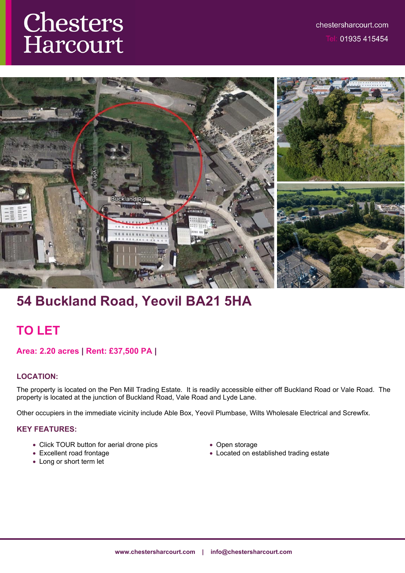# Chesters Harcourt



# **54 Buckland Road, Yeovil BA21 5HA**

## **TO LET**

### **Area: 2.20 acres | Rent: £37,500 PA |**

#### **LOCATION:**

The property is located on the Pen Mill Trading Estate. It is readily accessible either off Buckland Road or Vale Road. The property is located at the junction of Buckland Road, Vale Road and Lyde Lane.

Other occupiers in the immediate vicinity include Able Box, Yeovil Plumbase, Wilts Wholesale Electrical and Screwfix.

#### **KEY FEATURES:**

- Click TOUR button for aerial drone pics
- Excellent road frontage
- Long or short term let
- Open storage
- Located on established trading estate